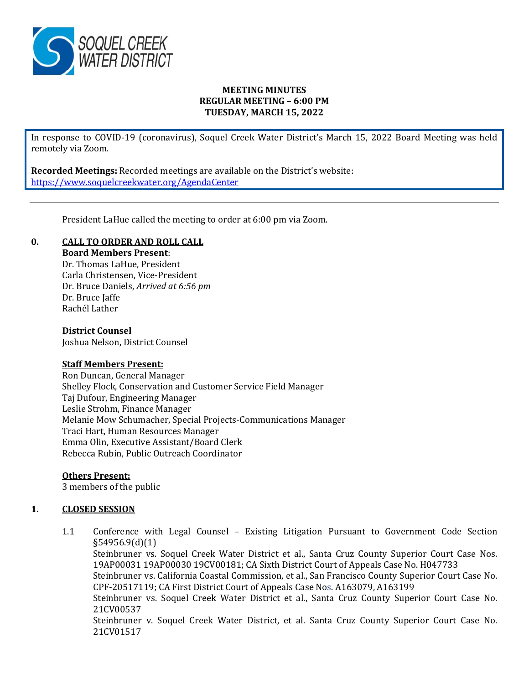

## **MEETING MINUTES REGULAR MEETING – 6:00 PM TUESDAY, MARCH 15, 2022**

In response to COVID-19 (coronavirus), Soquel Creek Water District's March 15, 2022 Board Meeting was held remotely via Zoom.

**Recorded Meetings:** Recorded meetings are available on the District's website: <https://www.soquelcreekwater.org/AgendaCenter>

President LaHue called the meeting to order at 6:00 pm via Zoom.

# **0. CALL TO ORDER AND ROLL CALL**

**Board Members Present**:

Dr. Thomas LaHue, President Carla Christensen, Vice-President Dr. Bruce Daniels, *Arrived at 6:56 pm* Dr. Bruce Jaffe Rachél Lather

#### **District Counsel**

Joshua Nelson, District Counsel

#### **Staff Members Present:**

Ron Duncan, General Manager Shelley Flock, Conservation and Customer Service Field Manager Taj Dufour, Engineering Manager Leslie Strohm, Finance Manager Melanie Mow Schumacher, Special Projects-Communications Manager Traci Hart, Human Resources Manager Emma Olin, Executive Assistant/Board Clerk Rebecca Rubin, Public Outreach Coordinator

# **Others Present:**

3 members of the public

# **1. CLOSED SESSION**

1.1 Conference with Legal Counsel – Existing Litigation Pursuant to Government Code Section §54956.9(d)(1)

Steinbruner vs. Soquel Creek Water District et al., Santa Cruz County Superior Court Case Nos. 19AP00031 19AP00030 19CV00181; CA Sixth District Court of Appeals Case No. H047733

Steinbruner vs. California Coastal Commission, et al., San Francisco County Superior Court Case No. CPF-20517119; CA First District Court of Appeals Case Nos. A163079, A163199

Steinbruner vs. Soquel Creek Water District et al., Santa Cruz County Superior Court Case No. 21CV00537

Steinbruner v. Soquel Creek Water District, et al. Santa Cruz County Superior Court Case No. 21CV01517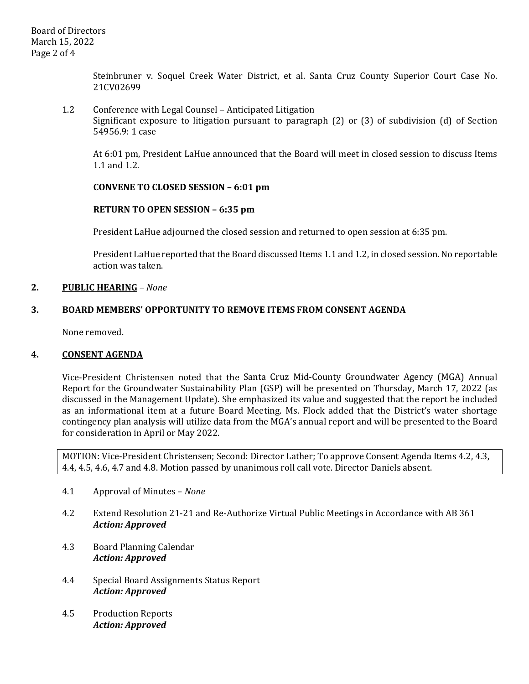Steinbruner v. Soquel Creek Water District, et al. Santa Cruz County Superior Court Case No. 21CV02699

1.2 Conference with Legal Counsel – Anticipated Litigation Significant exposure to litigation pursuant to paragraph (2) or (3) of subdivision (d) of Section 54956.9: 1 case

At 6:01 pm, President LaHue announced that the Board will meet in closed session to discuss Items 1.1 and 1.2.

## **CONVENE TO CLOSED SESSION – 6:01 pm**

#### **RETURN TO OPEN SESSION – 6:35 pm**

President LaHue adjourned the closed session and returned to open session at 6:35 pm.

President LaHue reported that the Board discussed Items 1.1 and 1.2, in closed session. No reportable action was taken.

## **2. PUBLIC HEARING** *– None*

## **3. BOARD MEMBERS' OPPORTUNITY TO REMOVE ITEMS FROM CONSENT AGENDA**

None removed.

#### **4. CONSENT AGENDA**

Vice-President Christensen noted that the Santa Cruz Mid-County Groundwater Agency (MGA) Annual Report for the Groundwater Sustainability Plan (GSP) will be presented on Thursday, March 17, 2022 (as discussed in the Management Update). She emphasized its value and suggested that the report be included as an informational item at a future Board Meeting. Ms. Flock added that the District's water shortage contingency plan analysis will utilize data from the MGA's annual report and will be presented to the Board for consideration in April or May 2022.

MOTION: Vice-President Christensen; Second: Director Lather; To approve Consent Agenda Items 4.2, 4.3, 4.4, 4.5, 4.6, 4.7 and 4.8. Motion passed by unanimous roll call vote. Director Daniels absent.

- 4.1 Approval of Minutes *None*
- 4.2 Extend Resolution 21-21 and Re-Authorize Virtual Public Meetings in Accordance with AB 361 *Action: Approved*
- 4.3 Board Planning Calendar *Action: Approved*
- 4.4 Special Board Assignments Status Report *Action: Approved*
- 4.5 Production Reports *Action: Approved*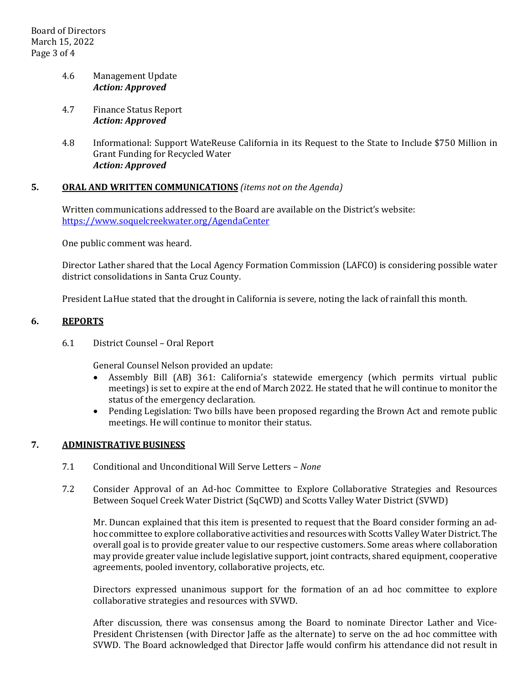# 4.6 Management Update *Action: Approved*

- 4.7 Finance Status Report *Action: Approved*
- 4.8 Informational: Support WateReuse California in its Request to the State to Include \$750 Million in Grant Funding for Recycled Water *Action: Approved*

# **5. ORAL AND WRITTEN COMMUNICATIONS** *(items not on the Agenda)*

Written communications addressed to the Board are available on the District's website: <https://www.soquelcreekwater.org/AgendaCenter>

One public comment was heard.

Director Lather shared that the Local Agency Formation Commission (LAFCO) is considering possible water district consolidations in Santa Cruz County.

President LaHue stated that the drought in California is severe, noting the lack of rainfall this month.

## **6. REPORTS**

6.1 District Counsel – Oral Report

General Counsel Nelson provided an update:

- Assembly Bill (AB) 361: California's statewide emergency (which permits virtual public meetings) is set to expire at the end of March 2022. He stated that he will continue to monitor the status of the emergency declaration.
- Pending Legislation: Two bills have been proposed regarding the Brown Act and remote public meetings. He will continue to monitor their status.

# **7. ADMINISTRATIVE BUSINESS**

- 7.1 Conditional and Unconditional Will Serve Letters *None*
- 7.2 Consider Approval of an Ad-hoc Committee to Explore Collaborative Strategies and Resources Between Soquel Creek Water District (SqCWD) and Scotts Valley Water District (SVWD)

Mr. Duncan explained that this item is presented to request that the Board consider forming an adhoc committee to explore collaborative activities and resources with Scotts Valley Water District. The overall goal is to provide greater value to our respective customers. Some areas where collaboration may provide greater value include legislative support, joint contracts, shared equipment, cooperative agreements, pooled inventory, collaborative projects, etc.

Directors expressed unanimous support for the formation of an ad hoc committee to explore collaborative strategies and resources with SVWD.

After discussion, there was consensus among the Board to nominate Director Lather and Vice-President Christensen (with Director Jaffe as the alternate) to serve on the ad hoc committee with SVWD. The Board acknowledged that Director Jaffe would confirm his attendance did not result in